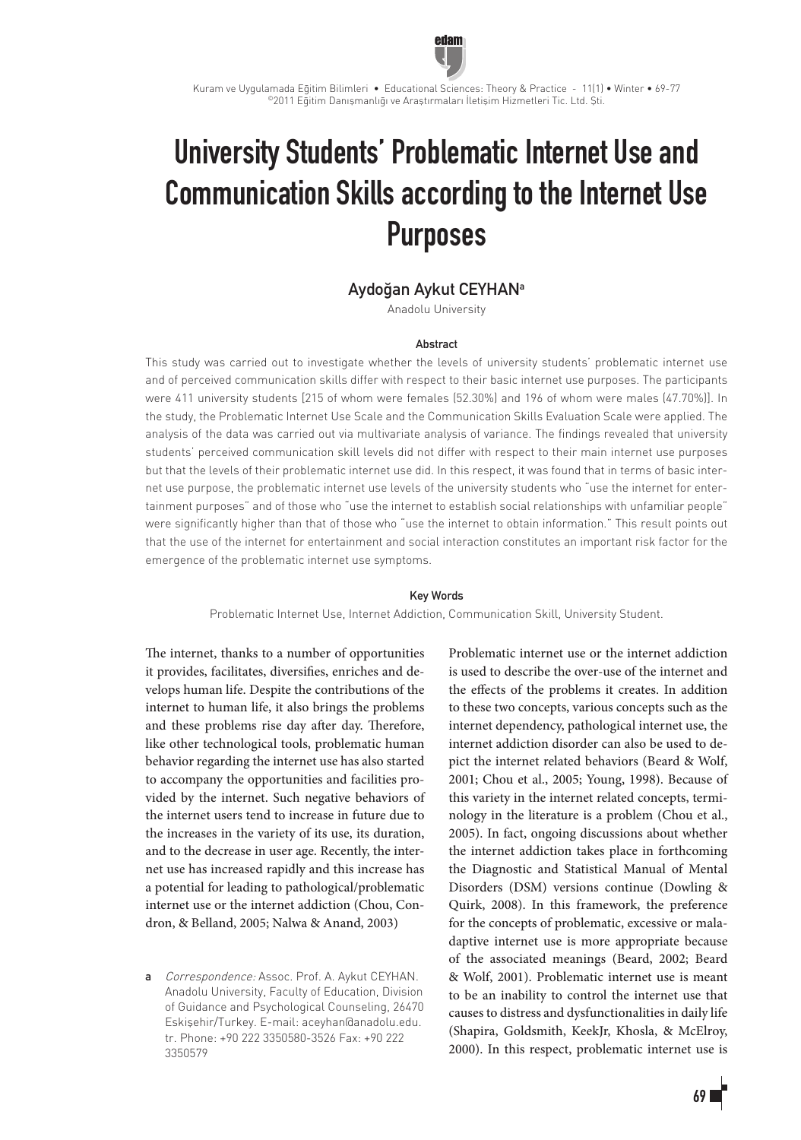

Kuram ve Uygulamada Eğitim Bilimleri • Educational Sciences: Theory & Practice - 11(1) • Winter • 69-77 ©2011 Eğitim Danışmanlığı ve Araştırmaları İletişim Hizmetleri Tic. Ltd. Şti.

# University Students' Problematic Internet Use and Communication Skills according to the Internet Use Purposes

# Aydoğan Aykut CEYHANa

Anadolu University

#### Abstract

This study was carried out to investigate whether the levels of university students' problematic internet use and of perceived communication skills differ with respect to their basic internet use purposes. The participants were 411 university students [215 of whom were females (52.30%) and 196 of whom were males (47.70%)]. In the study, the Problematic Internet Use Scale and the Communication Skills Evaluation Scale were applied. The analysis of the data was carried out via multivariate analysis of variance. The findings revealed that university students' perceived communication skill levels did not differ with respect to their main internet use purposes but that the levels of their problematic internet use did. In this respect, it was found that in terms of basic internet use purpose, the problematic internet use levels of the university students who "use the internet for entertainment purposes" and of those who "use the internet to establish social relationships with unfamiliar people" were significantly higher than that of those who "use the internet to obtain information." This result points out that the use of the internet for entertainment and social interaction constitutes an important risk factor for the emergence of the problematic internet use symptoms.

#### Key Words

Problematic Internet Use, Internet Addiction, Communication Skill, University Student.

The internet, thanks to a number of opportunities it provides, facilitates, diversifies, enriches and develops human life. Despite the contributions of the internet to human life, it also brings the problems and these problems rise day after day. Therefore, like other technological tools, problematic human behavior regarding the internet use has also started to accompany the opportunities and facilities provided by the internet. Such negative behaviors of the internet users tend to increase in future due to the increases in the variety of its use, its duration, and to the decrease in user age. Recently, the internet use has increased rapidly and this increase has a potential for leading to pathological/problematic internet use or the internet addiction (Chou, Condron, & Belland, 2005; Nalwa & Anand, 2003)

a Correspondence: Assoc. Prof. A. Aykut CEYHAN. Anadolu University, Faculty of Education, Division of Guidance and Psychological Counseling, 26470 Eskişehir/Turkey. E-mail: aceyhan@anadolu.edu. tr. Phone: +90 222 3350580-3526 Fax: +90 222 3350579

Problematic internet use or the internet addiction is used to describe the over-use of the internet and the effects of the problems it creates. In addition to these two concepts, various concepts such as the internet dependency, pathological internet use, the internet addiction disorder can also be used to depict the internet related behaviors (Beard & Wolf, 2001; Chou et al., 2005; Young, 1998). Because of this variety in the internet related concepts, terminology in the literature is a problem (Chou et al., 2005). In fact, ongoing discussions about whether the internet addiction takes place in forthcoming the Diagnostic and Statistical Manual of Mental Disorders (DSM) versions continue (Dowling & Quirk, 2008). In this framework, the preference for the concepts of problematic, excessive or maladaptive internet use is more appropriate because of the associated meanings (Beard, 2002; Beard & Wolf, 2001). Problematic internet use is meant to be an inability to control the internet use that causes to distress and dysfunctionalities in daily life (Shapira, Goldsmith, KeekJr, Khosla, & McElroy, 2000). In this respect, problematic internet use is

# 69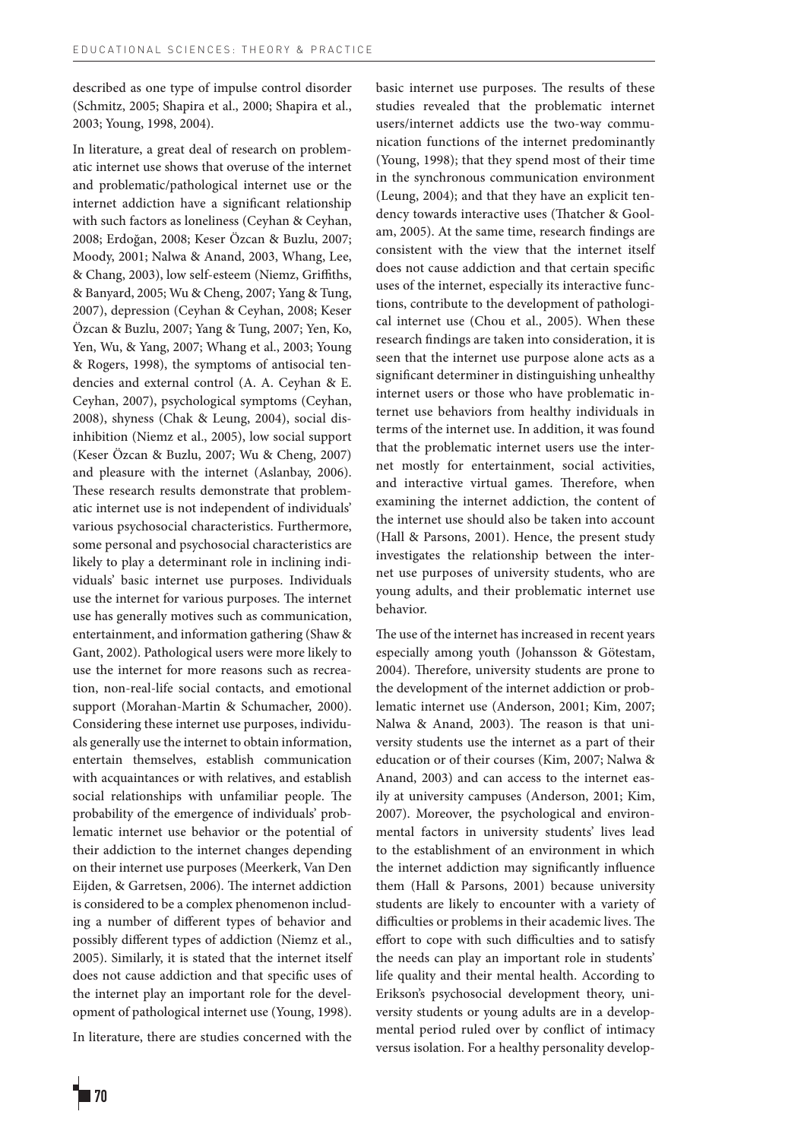described as one type of impulse control disorder (Schmitz, 2005; Shapira et al., 2000; Shapira et al., 2003; Young, 1998, 2004).

In literature, a great deal of research on problematic internet use shows that overuse of the internet and problematic/pathological internet use or the internet addiction have a significant relationship with such factors as loneliness (Ceyhan & Ceyhan, 2008; Erdoğan, 2008; Keser Özcan & Buzlu, 2007; Moody, 2001; Nalwa & Anand, 2003, Whang, Lee, & Chang, 2003), low self-esteem (Niemz, Griffiths, & Banyard, 2005; Wu & Cheng, 2007; Yang & Tung, 2007), depression (Ceyhan & Ceyhan, 2008; Keser Özcan & Buzlu, 2007; Yang & Tung, 2007; Yen, Ko, Yen, Wu, & Yang, 2007; Whang et al., 2003; Young & Rogers, 1998), the symptoms of antisocial tendencies and external control (A. A. Ceyhan & E. Ceyhan, 2007), psychological symptoms (Ceyhan, 2008), shyness (Chak & Leung, 2004), social disinhibition (Niemz et al., 2005), low social support (Keser Özcan & Buzlu, 2007; Wu & Cheng, 2007) and pleasure with the internet (Aslanbay, 2006). These research results demonstrate that problematic internet use is not independent of individuals' various psychosocial characteristics. Furthermore, some personal and psychosocial characteristics are likely to play a determinant role in inclining individuals' basic internet use purposes. Individuals use the internet for various purposes. The internet use has generally motives such as communication, entertainment, and information gathering (Shaw & Gant, 2002). Pathological users were more likely to use the internet for more reasons such as recreation, non-real-life social contacts, and emotional support (Morahan-Martin & Schumacher, 2000). Considering these internet use purposes, individuals generally use the internet to obtain information, entertain themselves, establish communication with acquaintances or with relatives, and establish social relationships with unfamiliar people. The probability of the emergence of individuals' problematic internet use behavior or the potential of their addiction to the internet changes depending on their internet use purposes (Meerkerk, Van Den Eijden, & Garretsen, 2006). The internet addiction is considered to be a complex phenomenon including a number of different types of behavior and possibly different types of addiction (Niemz et al., 2005). Similarly, it is stated that the internet itself does not cause addiction and that specific uses of the internet play an important role for the development of pathological internet use (Young, 1998).

In literature, there are studies concerned with the

basic internet use purposes. The results of these studies revealed that the problematic internet users/internet addicts use the two-way communication functions of the internet predominantly (Young, 1998); that they spend most of their time in the synchronous communication environment (Leung, 2004); and that they have an explicit tendency towards interactive uses (Thatcher & Goolam, 2005). At the same time, research findings are consistent with the view that the internet itself does not cause addiction and that certain specific uses of the internet, especially its interactive functions, contribute to the development of pathological internet use (Chou et al., 2005). When these research findings are taken into consideration, it is seen that the internet use purpose alone acts as a significant determiner in distinguishing unhealthy internet users or those who have problematic internet use behaviors from healthy individuals in terms of the internet use. In addition, it was found that the problematic internet users use the internet mostly for entertainment, social activities, and interactive virtual games. Therefore, when examining the internet addiction, the content of the internet use should also be taken into account (Hall & Parsons, 2001). Hence, the present study investigates the relationship between the internet use purposes of university students, who are young adults, and their problematic internet use behavior.

The use of the internet has increased in recent years especially among youth (Johansson & Götestam, 2004). Therefore, university students are prone to the development of the internet addiction or problematic internet use (Anderson, 2001; Kim, 2007; Nalwa & Anand, 2003). The reason is that university students use the internet as a part of their education or of their courses (Kim, 2007; Nalwa & Anand, 2003) and can access to the internet easily at university campuses (Anderson, 2001; Kim, 2007). Moreover, the psychological and environmental factors in university students' lives lead to the establishment of an environment in which the internet addiction may significantly influence them (Hall & Parsons, 2001) because university students are likely to encounter with a variety of difficulties or problems in their academic lives. The effort to cope with such difficulties and to satisfy the needs can play an important role in students' life quality and their mental health. According to Erikson's psychosocial development theory, university students or young adults are in a developmental period ruled over by conflict of intimacy versus isolation. For a healthy personality develop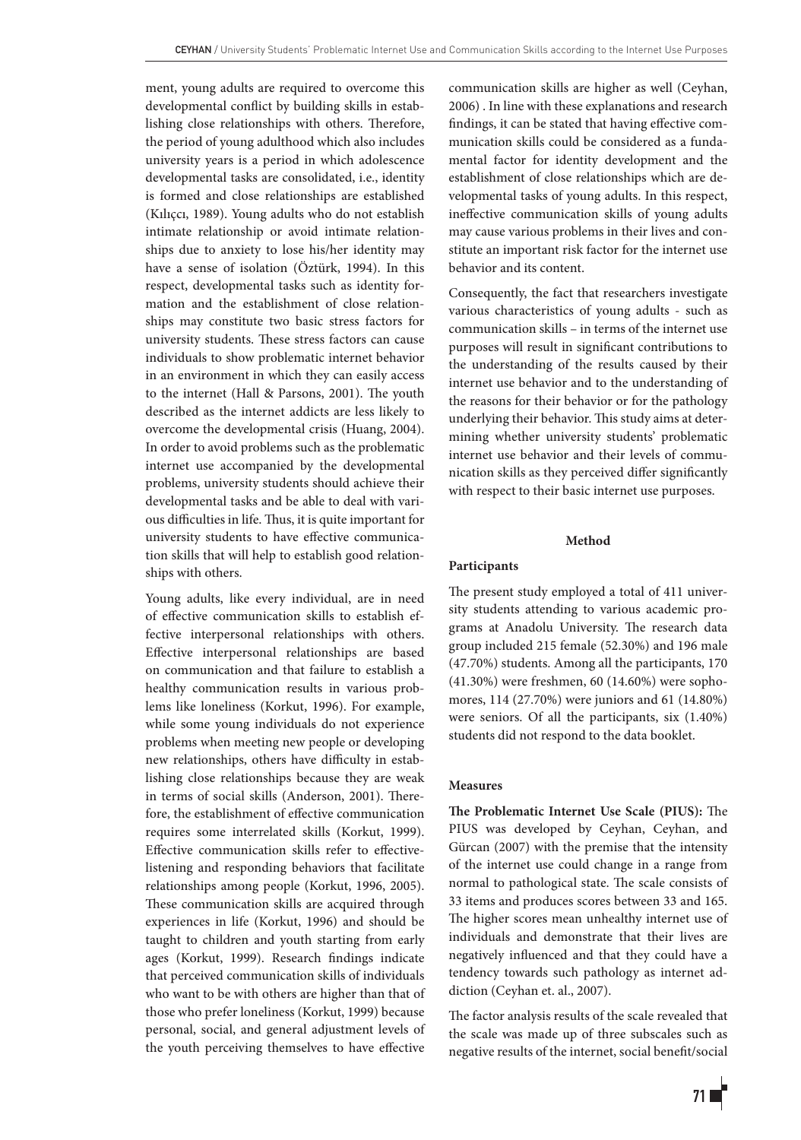ment, young adults are required to overcome this developmental conflict by building skills in establishing close relationships with others. Therefore, the period of young adulthood which also includes university years is a period in which adolescence developmental tasks are consolidated, i.e., identity is formed and close relationships are established (Kılıçcı, 1989). Young adults who do not establish intimate relationship or avoid intimate relationships due to anxiety to lose his/her identity may have a sense of isolation (Öztürk, 1994). In this respect, developmental tasks such as identity formation and the establishment of close relationships may constitute two basic stress factors for university students. These stress factors can cause individuals to show problematic internet behavior in an environment in which they can easily access to the internet (Hall & Parsons, 2001). The youth described as the internet addicts are less likely to overcome the developmental crisis (Huang, 2004). In order to avoid problems such as the problematic internet use accompanied by the developmental problems, university students should achieve their developmental tasks and be able to deal with various difficulties in life. Thus, it is quite important for university students to have effective communication skills that will help to establish good relationships with others.

Young adults, like every individual, are in need of effective communication skills to establish effective interpersonal relationships with others. Effective interpersonal relationships are based on communication and that failure to establish a healthy communication results in various problems like loneliness (Korkut, 1996). For example, while some young individuals do not experience problems when meeting new people or developing new relationships, others have difficulty in establishing close relationships because they are weak in terms of social skills (Anderson, 2001). Therefore, the establishment of effective communication requires some interrelated skills (Korkut, 1999). Effective communication skills refer to effectivelistening and responding behaviors that facilitate relationships among people (Korkut, 1996, 2005). These communication skills are acquired through experiences in life (Korkut, 1996) and should be taught to children and youth starting from early ages (Korkut, 1999). Research findings indicate that perceived communication skills of individuals who want to be with others are higher than that of those who prefer loneliness (Korkut, 1999) because personal, social, and general adjustment levels of the youth perceiving themselves to have effective communication skills are higher as well (Ceyhan, 2006) . In line with these explanations and research findings, it can be stated that having effective communication skills could be considered as a fundamental factor for identity development and the establishment of close relationships which are developmental tasks of young adults. In this respect, ineffective communication skills of young adults may cause various problems in their lives and constitute an important risk factor for the internet use behavior and its content.

Consequently, the fact that researchers investigate various characteristics of young adults - such as communication skills – in terms of the internet use purposes will result in significant contributions to the understanding of the results caused by their internet use behavior and to the understanding of the reasons for their behavior or for the pathology underlying their behavior. This study aims at determining whether university students' problematic internet use behavior and their levels of communication skills as they perceived differ significantly with respect to their basic internet use purposes.

# **Method**

# **Participants**

The present study employed a total of 411 university students attending to various academic programs at Anadolu University. The research data group included 215 female (52.30%) and 196 male (47.70%) students. Among all the participants, 170 (41.30%) were freshmen, 60 (14.60%) were sophomores, 114 (27.70%) were juniors and 61 (14.80%) were seniors. Of all the participants, six (1.40%) students did not respond to the data booklet.

### **Measures**

**The Problematic Internet Use Scale (PIUS):** The PIUS was developed by Ceyhan, Ceyhan, and Gürcan (2007) with the premise that the intensity of the internet use could change in a range from normal to pathological state. The scale consists of 33 items and produces scores between 33 and 165. The higher scores mean unhealthy internet use of individuals and demonstrate that their lives are negatively influenced and that they could have a tendency towards such pathology as internet addiction (Ceyhan et. al., 2007).

The factor analysis results of the scale revealed that the scale was made up of three subscales such as negative results of the internet, social benefit/social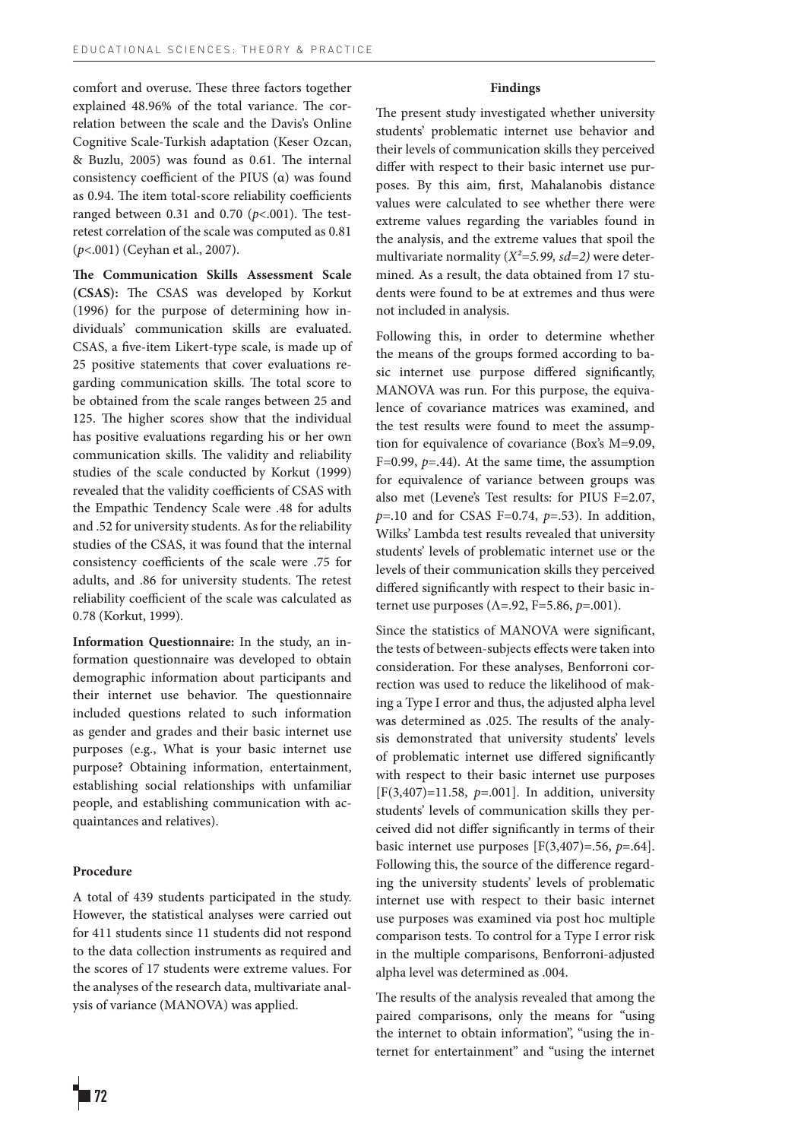comfort and overuse. These three factors together explained 48.96% of the total variance. The correlation between the scale and the Davis's Online Cognitive Scale-Turkish adaptation (Keser Ozcan, & Buzlu, 2005) was found as 0.61. The internal consistency coefficient of the PIUS (α) was found as 0.94. The item total-score reliability coefficients ranged between 0.31 and 0.70 (*p*<.001). The testretest correlation of the scale was computed as 0.81 (*p*<.001) (Ceyhan et al., 2007).

**The Communication Skills Assessment Scale (CSAS):** The CSAS was developed by Korkut (1996) for the purpose of determining how individuals' communication skills are evaluated. CSAS, a five-item Likert-type scale, is made up of 25 positive statements that cover evaluations regarding communication skills. The total score to be obtained from the scale ranges between 25 and 125. The higher scores show that the individual has positive evaluations regarding his or her own communication skills. The validity and reliability studies of the scale conducted by Korkut (1999) revealed that the validity coefficients of CSAS with the Empathic Tendency Scale were .48 for adults and .52 for university students. As for the reliability studies of the CSAS, it was found that the internal consistency coefficients of the scale were .75 for adults, and .86 for university students. The retest reliability coefficient of the scale was calculated as 0.78 (Korkut, 1999).

**Information Questionnaire:** In the study, an information questionnaire was developed to obtain demographic information about participants and their internet use behavior. The questionnaire included questions related to such information as gender and grades and their basic internet use purposes (e.g., What is your basic internet use purpose? Obtaining information, entertainment, establishing social relationships with unfamiliar people, and establishing communication with acquaintances and relatives).

# **Procedure**

A total of 439 students participated in the study. However, the statistical analyses were carried out for 411 students since 11 students did not respond to the data collection instruments as required and the scores of 17 students were extreme values. For the analyses of the research data, multivariate analysis of variance (MANOVA) was applied.

#### **Findings**

The present study investigated whether university students' problematic internet use behavior and their levels of communication skills they perceived differ with respect to their basic internet use purposes. By this aim, first, Mahalanobis distance values were calculated to see whether there were extreme values regarding the variables found in the analysis, and the extreme values that spoil the multivariate normality (*X²=5.99, sd=2)* were determined*.* As a result, the data obtained from 17 students were found to be at extremes and thus were not included in analysis.

Following this, in order to determine whether the means of the groups formed according to basic internet use purpose differed significantly, MANOVA was run. For this purpose, the equivalence of covariance matrices was examined, and the test results were found to meet the assumption for equivalence of covariance (Box's M=9.09, F=0.99,  $p=0.44$ ). At the same time, the assumption for equivalence of variance between groups was also met (Levene's Test results: for PIUS F=2.07, *p*=.10 and for CSAS F=0.74, *p*=.53). In addition, Wilks' Lambda test results revealed that university students' levels of problematic internet use or the levels of their communication skills they perceived differed significantly with respect to their basic internet use purposes (Λ=.92, F=5.86, *p*=.001).

Since the statistics of MANOVA were significant, the tests of between-subjects effects were taken into consideration. For these analyses, Benforroni correction was used to reduce the likelihood of making a Type I error and thus, the adjusted alpha level was determined as .025. The results of the analysis demonstrated that university students' levels of problematic internet use differed significantly with respect to their basic internet use purposes [F(3,407)=11.58, *p*=.001]. In addition, university students' levels of communication skills they perceived did not differ significantly in terms of their basic internet use purposes [F(3,407)=.56, *p*=.64]. Following this, the source of the difference regarding the university students' levels of problematic internet use with respect to their basic internet use purposes was examined via post hoc multiple comparison tests. To control for a Type I error risk in the multiple comparisons, Benforroni-adjusted alpha level was determined as .004.

The results of the analysis revealed that among the paired comparisons, only the means for "using the internet to obtain information", "using the internet for entertainment" and "using the internet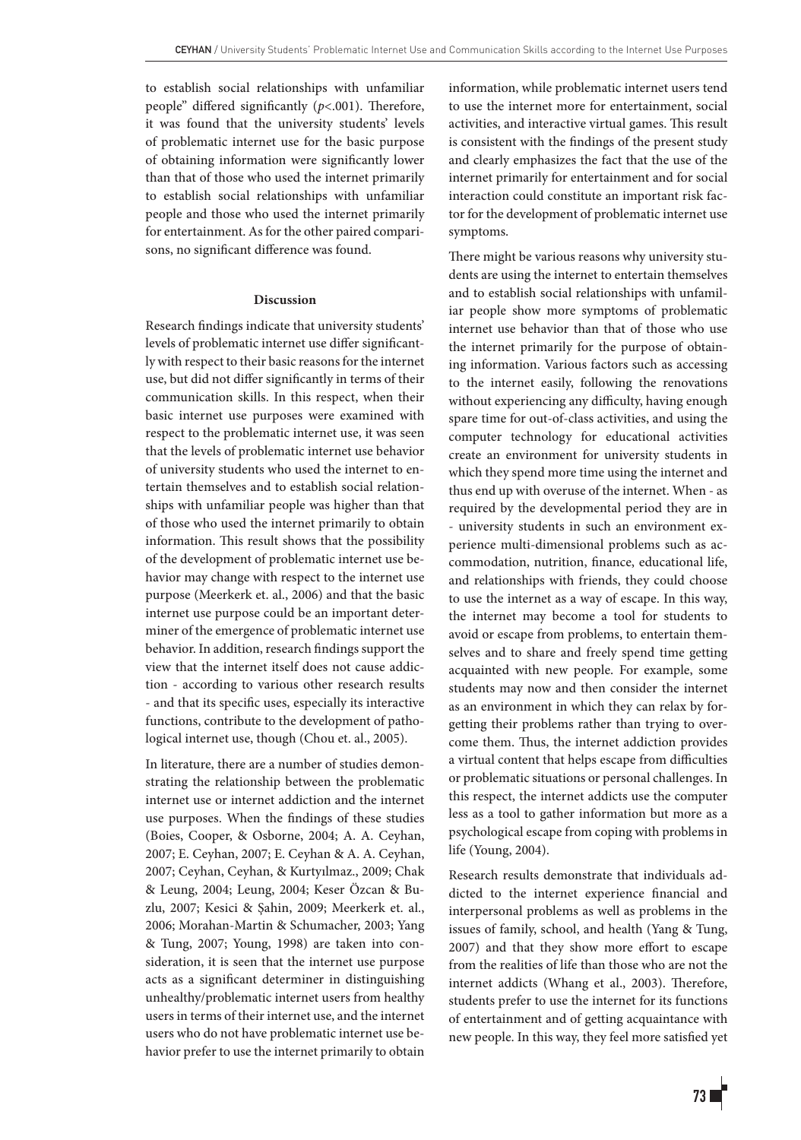to establish social relationships with unfamiliar people" differed significantly (*p*<.001). Therefore, it was found that the university students' levels of problematic internet use for the basic purpose of obtaining information were significantly lower than that of those who used the internet primarily to establish social relationships with unfamiliar people and those who used the internet primarily for entertainment. As for the other paired comparisons, no significant difference was found.

#### **Discussion**

Research findings indicate that university students' levels of problematic internet use differ significantly with respect to their basic reasons for the internet use, but did not differ significantly in terms of their communication skills. In this respect, when their basic internet use purposes were examined with respect to the problematic internet use, it was seen that the levels of problematic internet use behavior of university students who used the internet to entertain themselves and to establish social relationships with unfamiliar people was higher than that of those who used the internet primarily to obtain information. This result shows that the possibility of the development of problematic internet use behavior may change with respect to the internet use purpose (Meerkerk et. al., 2006) and that the basic internet use purpose could be an important determiner of the emergence of problematic internet use behavior. In addition, research findings support the view that the internet itself does not cause addiction - according to various other research results - and that its specific uses, especially its interactive functions, contribute to the development of pathological internet use, though (Chou et. al., 2005).

In literature, there are a number of studies demonstrating the relationship between the problematic internet use or internet addiction and the internet use purposes. When the findings of these studies (Boies, Cooper, & Osborne, 2004; A. A. Ceyhan, 2007; E. Ceyhan, 2007; E. Ceyhan & A. A. Ceyhan, 2007; Ceyhan, Ceyhan, & Kurtyılmaz., 2009; Chak & Leung, 2004; Leung, 2004; Keser Özcan & Buzlu, 2007; Kesici & Şahin, 2009; Meerkerk et. al., 2006; Morahan-Martin & Schumacher, 2003; Yang & Tung, 2007; Young, 1998) are taken into consideration, it is seen that the internet use purpose acts as a significant determiner in distinguishing unhealthy/problematic internet users from healthy users in terms of their internet use, and the internet users who do not have problematic internet use behavior prefer to use the internet primarily to obtain information, while problematic internet users tend to use the internet more for entertainment, social activities, and interactive virtual games. This result is consistent with the findings of the present study and clearly emphasizes the fact that the use of the internet primarily for entertainment and for social interaction could constitute an important risk factor for the development of problematic internet use symptoms.

There might be various reasons why university students are using the internet to entertain themselves and to establish social relationships with unfamiliar people show more symptoms of problematic internet use behavior than that of those who use the internet primarily for the purpose of obtaining information. Various factors such as accessing to the internet easily, following the renovations without experiencing any difficulty, having enough spare time for out-of-class activities, and using the computer technology for educational activities create an environment for university students in which they spend more time using the internet and thus end up with overuse of the internet. When - as required by the developmental period they are in - university students in such an environment experience multi-dimensional problems such as accommodation, nutrition, finance, educational life, and relationships with friends, they could choose to use the internet as a way of escape. In this way, the internet may become a tool for students to avoid or escape from problems, to entertain themselves and to share and freely spend time getting acquainted with new people. For example, some students may now and then consider the internet as an environment in which they can relax by forgetting their problems rather than trying to overcome them. Thus, the internet addiction provides a virtual content that helps escape from difficulties or problematic situations or personal challenges. In this respect, the internet addicts use the computer less as a tool to gather information but more as a psychological escape from coping with problems in life (Young, 2004).

Research results demonstrate that individuals addicted to the internet experience financial and interpersonal problems as well as problems in the issues of family, school, and health (Yang & Tung, 2007) and that they show more effort to escape from the realities of life than those who are not the internet addicts (Whang et al., 2003). Therefore, students prefer to use the internet for its functions of entertainment and of getting acquaintance with new people. In this way, they feel more satisfied yet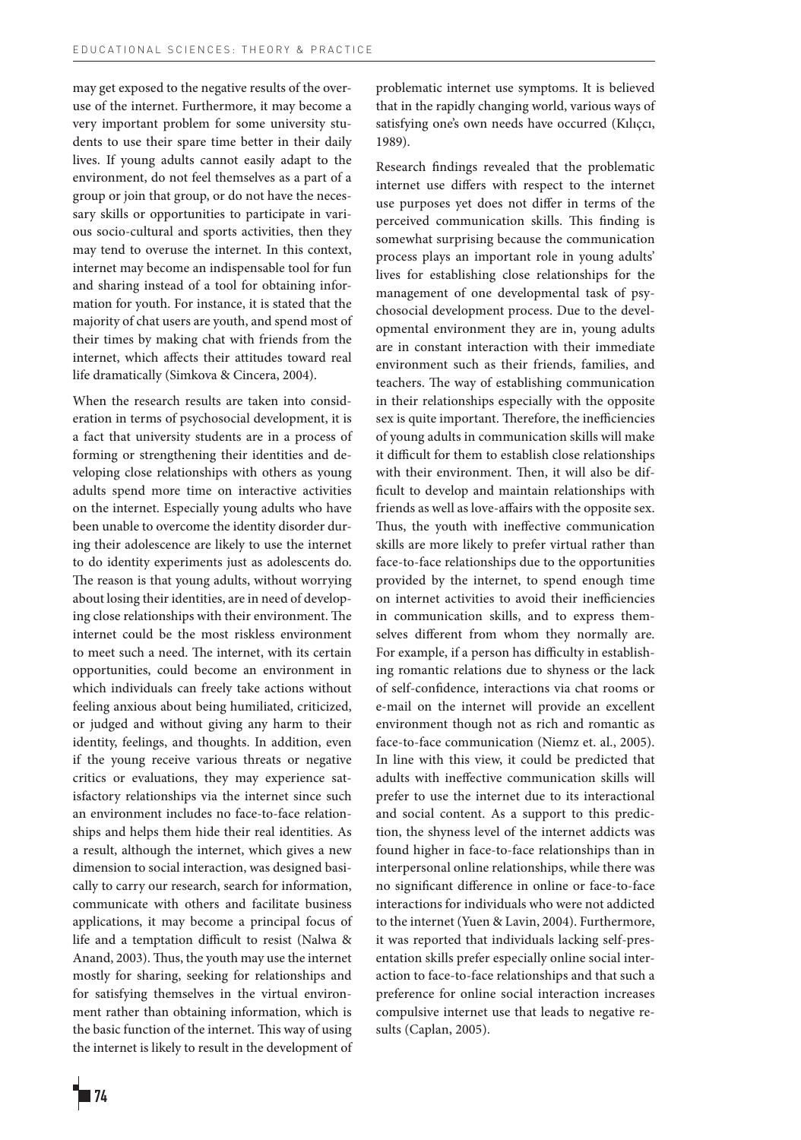may get exposed to the negative results of the overuse of the internet. Furthermore, it may become a very important problem for some university students to use their spare time better in their daily lives. If young adults cannot easily adapt to the environment, do not feel themselves as a part of a group or join that group, or do not have the necessary skills or opportunities to participate in various socio-cultural and sports activities, then they may tend to overuse the internet. In this context, internet may become an indispensable tool for fun and sharing instead of a tool for obtaining information for youth. For instance, it is stated that the majority of chat users are youth, and spend most of their times by making chat with friends from the internet, which affects their attitudes toward real life dramatically (Simkova & Cincera, 2004).

When the research results are taken into consideration in terms of psychosocial development, it is a fact that university students are in a process of forming or strengthening their identities and developing close relationships with others as young adults spend more time on interactive activities on the internet. Especially young adults who have been unable to overcome the identity disorder during their adolescence are likely to use the internet to do identity experiments just as adolescents do. The reason is that young adults, without worrying about losing their identities, are in need of developing close relationships with their environment. The internet could be the most riskless environment to meet such a need. The internet, with its certain opportunities, could become an environment in which individuals can freely take actions without feeling anxious about being humiliated, criticized, or judged and without giving any harm to their identity, feelings, and thoughts. In addition, even if the young receive various threats or negative critics or evaluations, they may experience satisfactory relationships via the internet since such an environment includes no face-to-face relationships and helps them hide their real identities. As a result, although the internet, which gives a new dimension to social interaction, was designed basically to carry our research, search for information, communicate with others and facilitate business applications, it may become a principal focus of life and a temptation difficult to resist (Nalwa & Anand, 2003). Thus, the youth may use the internet mostly for sharing, seeking for relationships and for satisfying themselves in the virtual environment rather than obtaining information, which is the basic function of the internet. This way of using the internet is likely to result in the development of

problematic internet use symptoms. It is believed that in the rapidly changing world, various ways of satisfying one's own needs have occurred (Kılıçcı, 1989).

Research findings revealed that the problematic internet use differs with respect to the internet use purposes yet does not differ in terms of the perceived communication skills. This finding is somewhat surprising because the communication process plays an important role in young adults' lives for establishing close relationships for the management of one developmental task of psychosocial development process. Due to the developmental environment they are in, young adults are in constant interaction with their immediate environment such as their friends, families, and teachers. The way of establishing communication in their relationships especially with the opposite sex is quite important. Therefore, the inefficiencies of young adults in communication skills will make it difficult for them to establish close relationships with their environment. Then, it will also be difficult to develop and maintain relationships with friends as well as love-affairs with the opposite sex. Thus, the youth with ineffective communication skills are more likely to prefer virtual rather than face-to-face relationships due to the opportunities provided by the internet, to spend enough time on internet activities to avoid their inefficiencies in communication skills, and to express themselves different from whom they normally are. For example, if a person has difficulty in establishing romantic relations due to shyness or the lack of self-confidence, interactions via chat rooms or e-mail on the internet will provide an excellent environment though not as rich and romantic as face-to-face communication (Niemz et. al., 2005). In line with this view, it could be predicted that adults with ineffective communication skills will prefer to use the internet due to its interactional and social content. As a support to this prediction, the shyness level of the internet addicts was found higher in face-to-face relationships than in interpersonal online relationships, while there was no significant difference in online or face-to-face interactions for individuals who were not addicted to the internet (Yuen & Lavin, 2004). Furthermore, it was reported that individuals lacking self-presentation skills prefer especially online social interaction to face-to-face relationships and that such a preference for online social interaction increases compulsive internet use that leads to negative results (Caplan, 2005).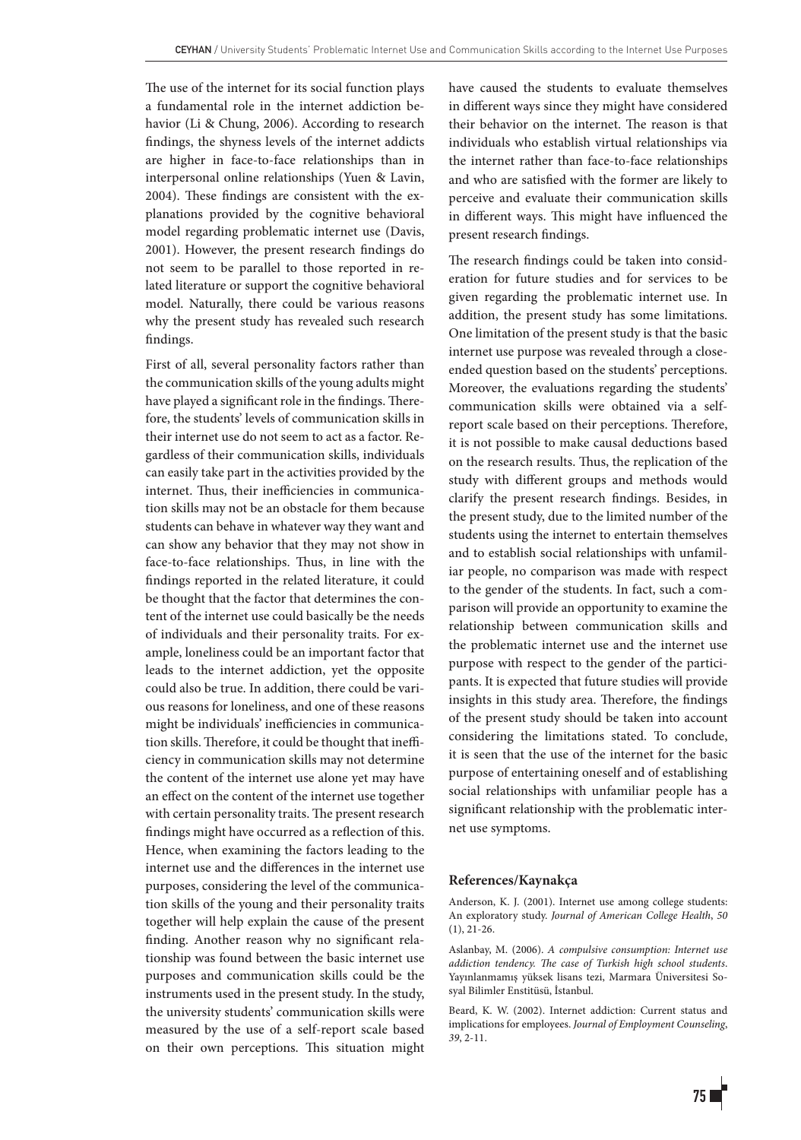The use of the internet for its social function plays a fundamental role in the internet addiction behavior (Li & Chung, 2006). According to research findings, the shyness levels of the internet addicts are higher in face-to-face relationships than in interpersonal online relationships (Yuen & Lavin, 2004). These findings are consistent with the explanations provided by the cognitive behavioral model regarding problematic internet use (Davis, 2001). However, the present research findings do not seem to be parallel to those reported in related literature or support the cognitive behavioral model. Naturally, there could be various reasons why the present study has revealed such research findings.

First of all, several personality factors rather than the communication skills of the young adults might have played a significant role in the findings. Therefore, the students' levels of communication skills in their internet use do not seem to act as a factor. Regardless of their communication skills, individuals can easily take part in the activities provided by the internet. Thus, their inefficiencies in communication skills may not be an obstacle for them because students can behave in whatever way they want and can show any behavior that they may not show in face-to-face relationships. Thus, in line with the findings reported in the related literature, it could be thought that the factor that determines the content of the internet use could basically be the needs of individuals and their personality traits. For example, loneliness could be an important factor that leads to the internet addiction, yet the opposite could also be true. In addition, there could be various reasons for loneliness, and one of these reasons might be individuals' inefficiencies in communication skills. Therefore, it could be thought that inefficiency in communication skills may not determine the content of the internet use alone yet may have an effect on the content of the internet use together with certain personality traits. The present research findings might have occurred as a reflection of this. Hence, when examining the factors leading to the internet use and the differences in the internet use purposes, considering the level of the communication skills of the young and their personality traits together will help explain the cause of the present finding. Another reason why no significant relationship was found between the basic internet use purposes and communication skills could be the instruments used in the present study. In the study, the university students' communication skills were measured by the use of a self-report scale based on their own perceptions. This situation might have caused the students to evaluate themselves in different ways since they might have considered their behavior on the internet. The reason is that individuals who establish virtual relationships via the internet rather than face-to-face relationships and who are satisfied with the former are likely to perceive and evaluate their communication skills in different ways. This might have influenced the present research findings.

The research findings could be taken into consideration for future studies and for services to be given regarding the problematic internet use. In addition, the present study has some limitations. One limitation of the present study is that the basic internet use purpose was revealed through a closeended question based on the students' perceptions. Moreover, the evaluations regarding the students' communication skills were obtained via a selfreport scale based on their perceptions. Therefore, it is not possible to make causal deductions based on the research results. Thus, the replication of the study with different groups and methods would clarify the present research findings. Besides, in the present study, due to the limited number of the students using the internet to entertain themselves and to establish social relationships with unfamiliar people, no comparison was made with respect to the gender of the students. In fact, such a comparison will provide an opportunity to examine the relationship between communication skills and the problematic internet use and the internet use purpose with respect to the gender of the participants. It is expected that future studies will provide insights in this study area. Therefore, the findings of the present study should be taken into account considering the limitations stated. To conclude, it is seen that the use of the internet for the basic purpose of entertaining oneself and of establishing social relationships with unfamiliar people has a significant relationship with the problematic internet use symptoms.

#### **References/Kaynakça**

Anderson, K. J. (2001). Internet use among college students: An exploratory study. *Journal of American College Health*, *50*  (1), 21-26.

Aslanbay, M. (2006). *A compulsive consumption: Internet use addiction tendency. The case of Turkish high school students*. Yayınlanmamış yüksek lisans tezi, Marmara Üniversitesi Sosyal Bilimler Enstitüsü, İstanbul.

Beard, K. W. (2002). Internet addiction: Current status and implications for employees. *Journal of Employment Counseling*, *39*, 2-11.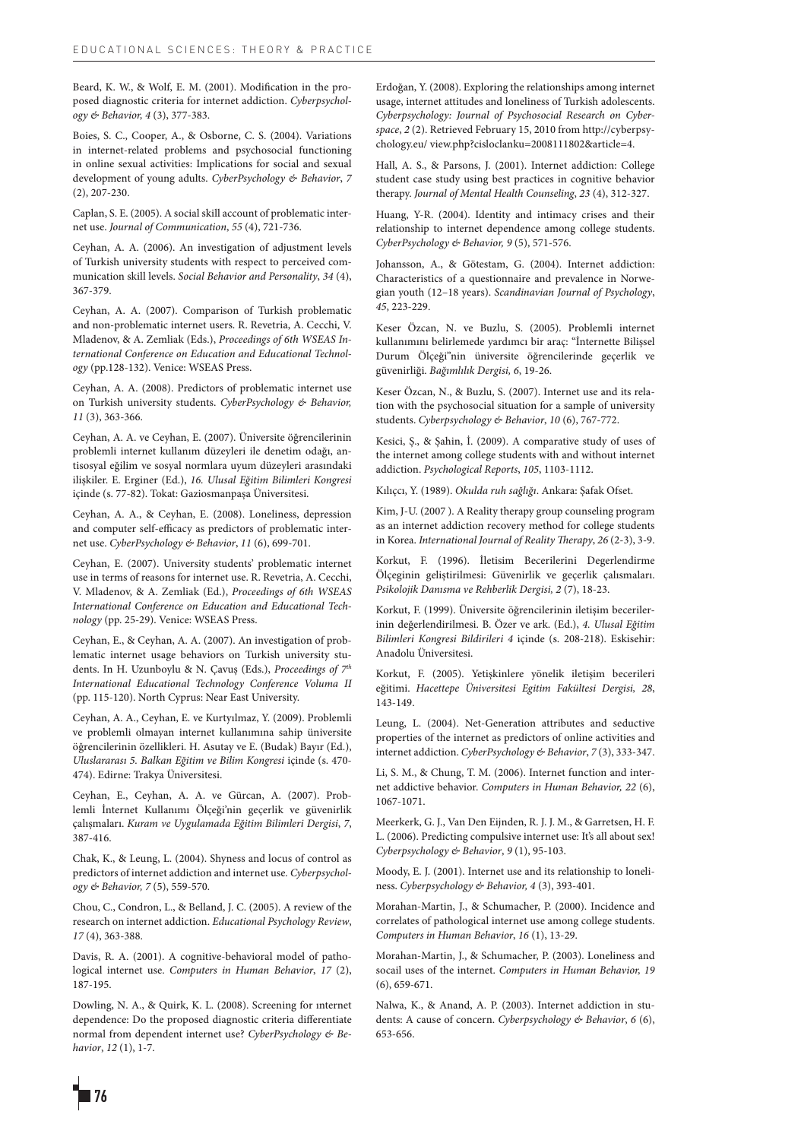Beard, K. W., & Wolf, E. M. (2001). Modification in the proposed diagnostic criteria for internet addiction. *Cyberpsychology & Behavior, 4* (3), 377-383.

Boies, S. C., Cooper, A., & Osborne, C. S. (2004). Variations in internet-related problems and psychosocial functioning in online sexual activities: Implications for social and sexual development of young adults. *CyberPsychology & Behavior*, *7*  (2), 207-230.

Caplan, S. E. (2005). A social skill account of problematic internet use. *Journal of Communication*, *55* (4), 721-736.

Ceyhan, A. A. (2006). An investigation of adjustment levels of Turkish university students with respect to perceived communication skill levels. *Social Behavior and Personality*, *34* (4), 367-379.

Ceyhan, A. A. (2007). Comparison of Turkish problematic and non-problematic internet users. R. Revetria, A. Cecchi, V. Mladenov, & A. Zemliak (Eds.), *Proceedings of 6th WSEAS International Conference on Education and Educational Technology* (pp.128-132). Venice: WSEAS Press.

Ceyhan, A. A. (2008). Predictors of problematic internet use on Turkish university students. *CyberPsychology & Behavior, 11* (3), 363-366.

Ceyhan, A. A. ve Ceyhan, E. (2007). Üniversite öğrencilerinin problemli internet kullanım düzeyleri ile denetim odağı, antisosyal eğilim ve sosyal normlara uyum düzeyleri arasındaki ilişkiler. E. Erginer (Ed.), *16. Ulusal Eğitim Bilimleri Kongresi*  içinde (s. 77-82). Tokat: Gaziosmanpaşa Üniversitesi.

Ceyhan, A. A., & Ceyhan, E. (2008). Loneliness, depression and computer self-efficacy as predictors of problematic internet use. *CyberPsychology & Behavior*, *11* (6), 699-701.

Ceyhan, E. (2007). University students' problematic internet use in terms of reasons for internet use. R. Revetria, A. Cecchi, V. Mladenov, & A. Zemliak (Ed.), *Proceedings of 6th WSEAS International Conference on Education and Educational Technology* (pp. 25-29). Venice: WSEAS Press.

Ceyhan, E., & Ceyhan, A. A. (2007). An investigation of problematic internet usage behaviors on Turkish university students. In H. Uzunboylu & N. Çavuş (Eds.), *Proceedings of 7th International Educational Technology Conference Voluma II* (pp. 115-120). North Cyprus: Near East University.

Ceyhan, A. A., Ceyhan, E. ve Kurtyılmaz, Y. (2009). Problemli ve problemli olmayan internet kullanımına sahip üniversite öğrencilerinin özellikleri. H. Asutay ve E. (Budak) Bayır (Ed.), *Uluslararası 5. Balkan Eğitim ve Bilim Kongresi* içinde (s. 470- 474). Edirne: Trakya Üniversitesi.

Ceyhan, E., Ceyhan, A. A. ve Gürcan, A. (2007). Problemli İnternet Kullanımı Ölçeği'nin geçerlik ve güvenirlik çalışmaları. *Kuram ve Uygulamada Eğitim Bilimleri Dergisi*, *7*, 387-416.

Chak, K., & Leung, L. (2004). Shyness and locus of control as predictors of internet addiction and internet use*. Cyberpsychology & Behavior, 7* (5), 559-570*.*

Chou, C., Condron, L., & Belland, J. C. (2005). A review of the research on internet addiction. *Educational Psychology Review*, *17* (4), 363-388.

Davis, R. A. (2001). A cognitive-behavioral model of pathological internet use. *Computers in Human Behavior*, *17* (2), 187-195.

Dowling, N. A., & Quirk, K. L. (2008). Screening for ınternet dependence: Do the proposed diagnostic criteria differentiate normal from dependent internet use? *CyberPsychology & Behavior*, *12* (1), 1-7.

Erdoğan, Y. (2008). Exploring the relationships among internet usage, internet attitudes and loneliness of Turkish adolescents. *Cyberpsychology: Journal of Psychosocial Research on Cyberspace*, *2* (2). Retrieved February 15, 2010 from http://cyberpsychology.eu/ view.php?cisloclanku=2008111802&article=4.

Hall, A. S., & Parsons, J. (2001). Internet addiction: College student case study using best practices in cognitive behavior therapy. *Journal of Mental Health Counseling*, *23* (4), 312-327.

Huang, Y-R. (2004). Identity and intimacy crises and their relationship to internet dependence among college students. *CyberPsychology & Behavior, 9* (5), 571-576.

Johansson, A., & Götestam, G. (2004). Internet addiction: Characteristics of a questionnaire and prevalence in Norwegian youth (12–18 years). *Scandinavian Journal of Psychology*, *45*, 223-229.

Keser Özcan, N. ve Buzlu, S. (2005). Problemli internet kullanımını belirlemede yardımcı bir araç: "İnternette Bilişsel Durum Ölçeği"nin üniversite öğrencilerinde geçerlik ve güvenirliği. *Bağımlılık Dergisi, 6*, 19-26.

Keser Özcan, N., & Buzlu, S. (2007). Internet use and its relation with the psychosocial situation for a sample of university students. *Cyberpsychology & Behavior*, *10* (6), 767-772.

Kesici, Ş., & Şahin, İ. (2009). A comparative study of uses of the internet among college students with and without internet addiction. *Psychological Reports*, *105*, 1103-1112.

Kılıçcı, Y. (1989). *Okulda ruh sağlığı*. Ankara: Şafak Ofset.

Kim, J-U. (2007 ). A Reality therapy group counseling program as an internet addiction recovery method for college students in Korea. *International Journal of Reality Therapy*, *26* (2-3), 3-9.

Korkut, F. (1996). İletisim Becerilerini Degerlendirme Ölçeginin geliştirilmesi: Güvenirlik ve geçerlik çalısmaları. *Psikolojik Danısma ve Rehberlik Dergisi, 2* (7), 18-23.

Korkut, F. (1999). Üniversite öğrencilerinin iletişim becerilerinin değerlendirilmesi. B. Özer ve ark. (Ed.), *4. Ulusal Eğitim Bilimleri Kongresi Bildirileri 4* içinde (s. 208-218). Eskisehir: Anadolu Üniversitesi.

Korkut, F. (2005). Yetişkinlere yönelik iletişim becerileri eğitimi. *Hacettepe Üniversitesi Egitim Fakültesi Dergisi, 28*, 143-149.

Leung, L. (2004). Net-Generation attributes and seductive properties of the internet as predictors of online activities and internet addiction. *CyberPsychology & Behavior*, *7* (3), 333-347.

Li, S. M., & Chung, T. M. (2006). Internet function and internet addictive behavior. *Computers in Human Behavior, 22* (6), 1067-1071.

Meerkerk, G. J., Van Den Eijnden, R. J. J. M., & Garretsen, H. F. L. (2006). Predicting compulsive internet use: It's all about sex! *Cyberpsychology & Behavior*, *9* (1), 95-103.

Moody, E. J. (2001). Internet use and its relationship to loneliness. *Cyberpsychology & Behavior, 4* (3), 393-401.

Morahan-Martin, J., & Schumacher, P. (2000). Incidence and correlates of pathological internet use among college students. *Computers in Human Behavior*, *16* (1), 13-29.

Morahan-Martin, J., & Schumacher, P. (2003). Loneliness and socail uses of the internet. *Computers in Human Behavior, 19*  (6), 659-671.

Nalwa, K., & Anand, A. P. (2003). Internet addiction in students: A cause of concern. *Cyberpsychology & Behavior*, *6* (6), 653-656.